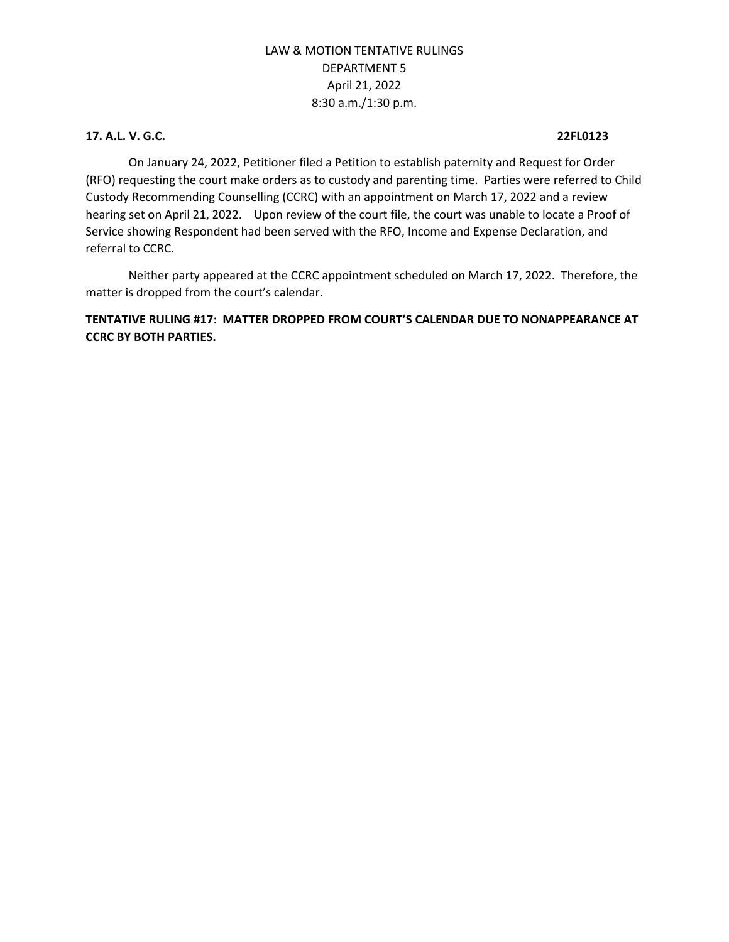### **17. A.L. V. G.C. 22FL0123**

On January 24, 2022, Petitioner filed a Petition to establish paternity and Request for Order (RFO) requesting the court make orders as to custody and parenting time. Parties were referred to Child Custody Recommending Counselling (CCRC) with an appointment on March 17, 2022 and a review hearing set on April 21, 2022. Upon review of the court file, the court was unable to locate a Proof of Service showing Respondent had been served with the RFO, Income and Expense Declaration, and referral to CCRC.

Neither party appeared at the CCRC appointment scheduled on March 17, 2022. Therefore, the matter is dropped from the court's calendar.

## **TENTATIVE RULING #17: MATTER DROPPED FROM COURT'S CALENDAR DUE TO NONAPPEARANCE AT CCRC BY BOTH PARTIES.**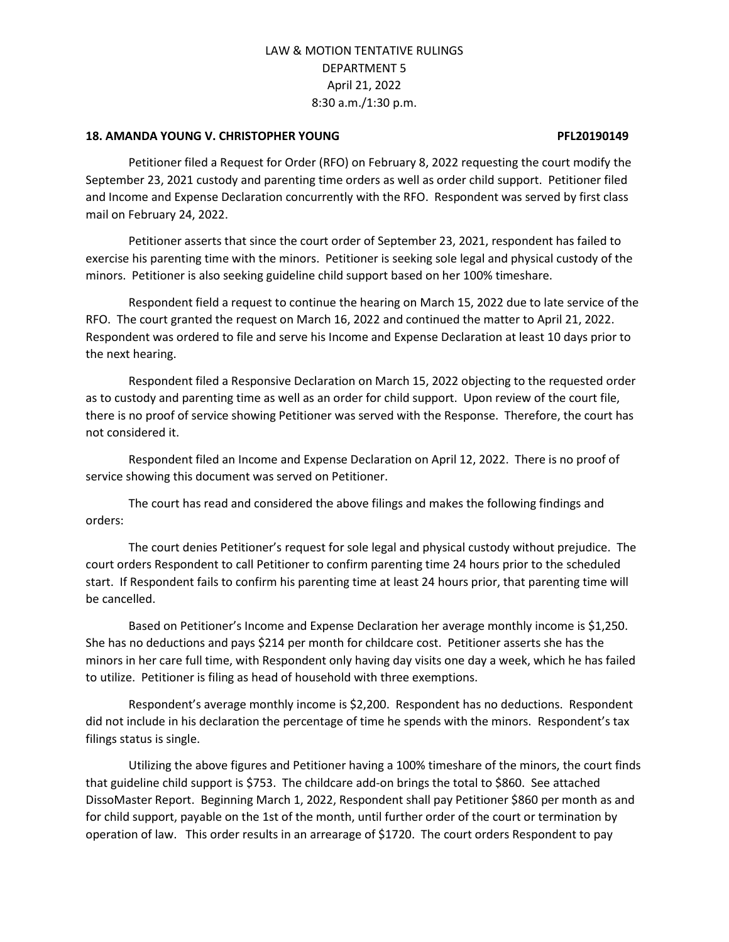### **18. AMANDA YOUNG V. CHRISTOPHER YOUNG PFL20190149**

Petitioner filed a Request for Order (RFO) on February 8, 2022 requesting the court modify the September 23, 2021 custody and parenting time orders as well as order child support. Petitioner filed and Income and Expense Declaration concurrently with the RFO. Respondent was served by first class mail on February 24, 2022.

Petitioner asserts that since the court order of September 23, 2021, respondent has failed to exercise his parenting time with the minors. Petitioner is seeking sole legal and physical custody of the minors. Petitioner is also seeking guideline child support based on her 100% timeshare.

Respondent field a request to continue the hearing on March 15, 2022 due to late service of the RFO. The court granted the request on March 16, 2022 and continued the matter to April 21, 2022. Respondent was ordered to file and serve his Income and Expense Declaration at least 10 days prior to the next hearing.

Respondent filed a Responsive Declaration on March 15, 2022 objecting to the requested order as to custody and parenting time as well as an order for child support. Upon review of the court file, there is no proof of service showing Petitioner was served with the Response. Therefore, the court has not considered it.

Respondent filed an Income and Expense Declaration on April 12, 2022. There is no proof of service showing this document was served on Petitioner.

The court has read and considered the above filings and makes the following findings and orders:

The court denies Petitioner's request for sole legal and physical custody without prejudice. The court orders Respondent to call Petitioner to confirm parenting time 24 hours prior to the scheduled start. If Respondent fails to confirm his parenting time at least 24 hours prior, that parenting time will be cancelled.

Based on Petitioner's Income and Expense Declaration her average monthly income is \$1,250. She has no deductions and pays \$214 per month for childcare cost. Petitioner asserts she has the minors in her care full time, with Respondent only having day visits one day a week, which he has failed to utilize. Petitioner is filing as head of household with three exemptions.

Respondent's average monthly income is \$2,200. Respondent has no deductions. Respondent did not include in his declaration the percentage of time he spends with the minors. Respondent's tax filings status is single.

Utilizing the above figures and Petitioner having a 100% timeshare of the minors, the court finds that guideline child support is \$753. The childcare add-on brings the total to \$860. See attached DissoMaster Report. Beginning March 1, 2022, Respondent shall pay Petitioner \$860 per month as and for child support, payable on the 1st of the month, until further order of the court or termination by operation of law. This order results in an arrearage of \$1720. The court orders Respondent to pay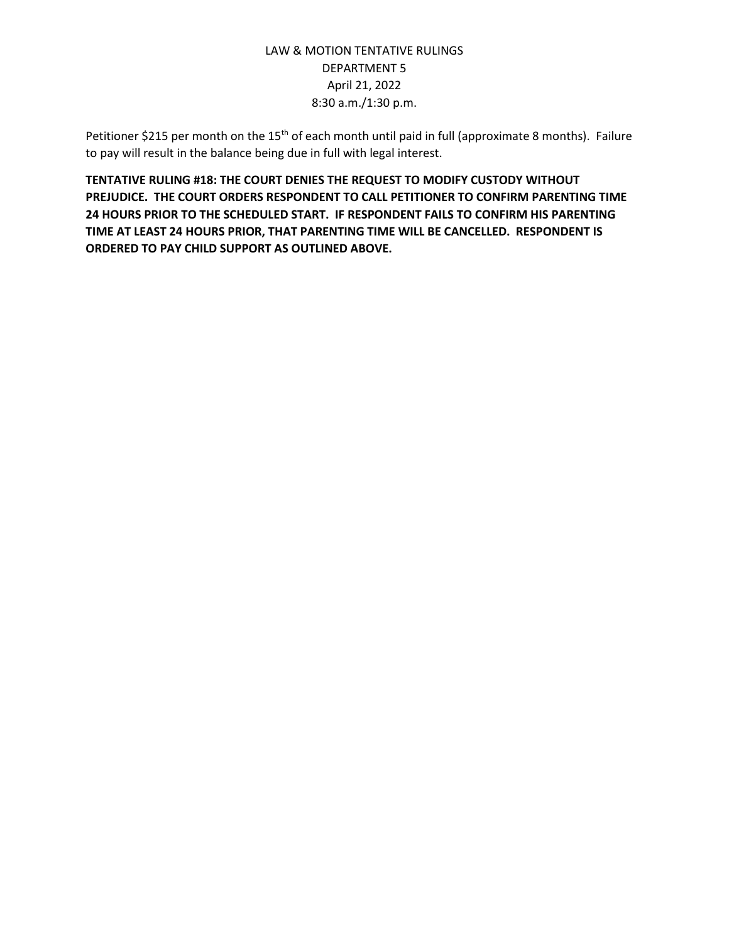Petitioner \$215 per month on the 15<sup>th</sup> of each month until paid in full (approximate 8 months). Failure to pay will result in the balance being due in full with legal interest.

**TENTATIVE RULING #18: THE COURT DENIES THE REQUEST TO MODIFY CUSTODY WITHOUT PREJUDICE. THE COURT ORDERS RESPONDENT TO CALL PETITIONER TO CONFIRM PARENTING TIME 24 HOURS PRIOR TO THE SCHEDULED START. IF RESPONDENT FAILS TO CONFIRM HIS PARENTING TIME AT LEAST 24 HOURS PRIOR, THAT PARENTING TIME WILL BE CANCELLED. RESPONDENT IS ORDERED TO PAY CHILD SUPPORT AS OUTLINED ABOVE.**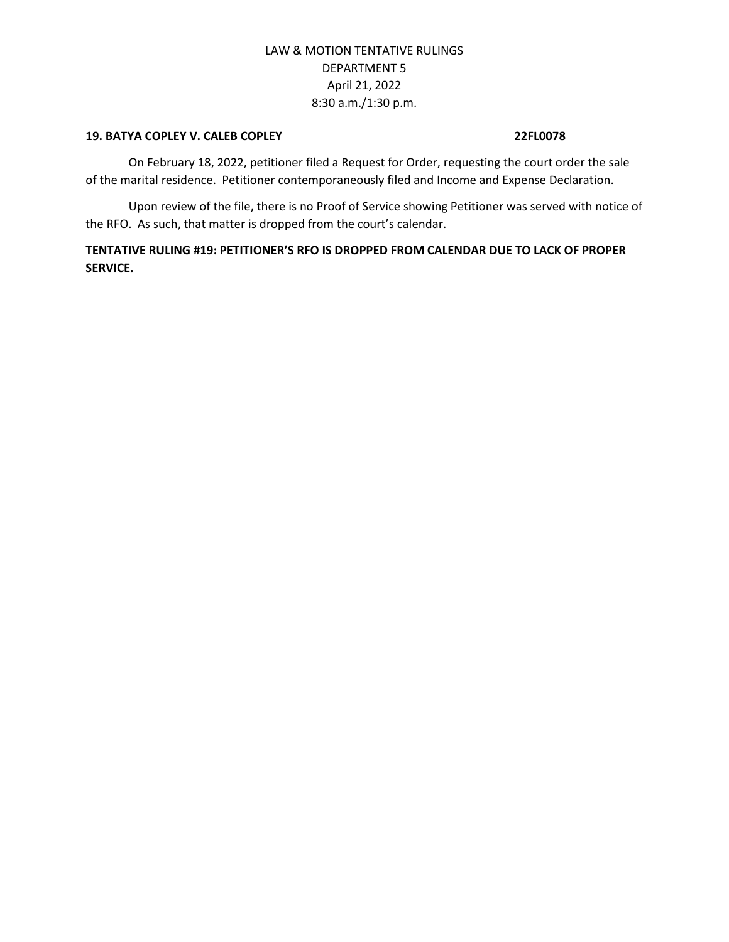### **19. BATYA COPLEY V. CALEB COPLEY 22FL0078**

On February 18, 2022, petitioner filed a Request for Order, requesting the court order the sale of the marital residence. Petitioner contemporaneously filed and Income and Expense Declaration.

Upon review of the file, there is no Proof of Service showing Petitioner was served with notice of the RFO. As such, that matter is dropped from the court's calendar.

**TENTATIVE RULING #19: PETITIONER'S RFO IS DROPPED FROM CALENDAR DUE TO LACK OF PROPER SERVICE.**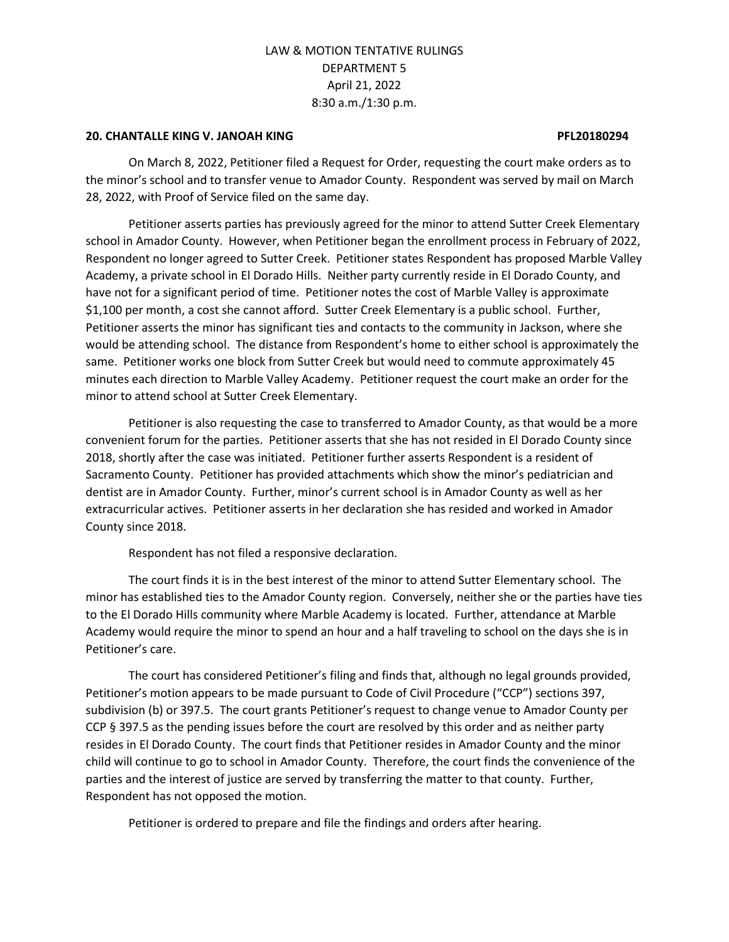### **20. CHANTALLE KING V. JANOAH KING PFL20180294**

On March 8, 2022, Petitioner filed a Request for Order, requesting the court make orders as to the minor's school and to transfer venue to Amador County. Respondent was served by mail on March 28, 2022, with Proof of Service filed on the same day.

Petitioner asserts parties has previously agreed for the minor to attend Sutter Creek Elementary school in Amador County. However, when Petitioner began the enrollment process in February of 2022, Respondent no longer agreed to Sutter Creek. Petitioner states Respondent has proposed Marble Valley Academy, a private school in El Dorado Hills. Neither party currently reside in El Dorado County, and have not for a significant period of time. Petitioner notes the cost of Marble Valley is approximate \$1,100 per month, a cost she cannot afford. Sutter Creek Elementary is a public school. Further, Petitioner asserts the minor has significant ties and contacts to the community in Jackson, where she would be attending school. The distance from Respondent's home to either school is approximately the same. Petitioner works one block from Sutter Creek but would need to commute approximately 45 minutes each direction to Marble Valley Academy. Petitioner request the court make an order for the minor to attend school at Sutter Creek Elementary.

Petitioner is also requesting the case to transferred to Amador County, as that would be a more convenient forum for the parties. Petitioner asserts that she has not resided in El Dorado County since 2018, shortly after the case was initiated. Petitioner further asserts Respondent is a resident of Sacramento County. Petitioner has provided attachments which show the minor's pediatrician and dentist are in Amador County. Further, minor's current school is in Amador County as well as her extracurricular actives. Petitioner asserts in her declaration she has resided and worked in Amador County since 2018.

Respondent has not filed a responsive declaration.

The court finds it is in the best interest of the minor to attend Sutter Elementary school. The minor has established ties to the Amador County region. Conversely, neither she or the parties have ties to the El Dorado Hills community where Marble Academy is located. Further, attendance at Marble Academy would require the minor to spend an hour and a half traveling to school on the days she is in Petitioner's care.

The court has considered Petitioner's filing and finds that, although no legal grounds provided, Petitioner's motion appears to be made pursuant to Code of Civil Procedure ("CCP") sections 397, subdivision (b) or 397.5. The court grants Petitioner's request to change venue to Amador County per CCP § 397.5 as the pending issues before the court are resolved by this order and as neither party resides in El Dorado County. The court finds that Petitioner resides in Amador County and the minor child will continue to go to school in Amador County. Therefore, the court finds the convenience of the parties and the interest of justice are served by transferring the matter to that county. Further, Respondent has not opposed the motion.

Petitioner is ordered to prepare and file the findings and orders after hearing.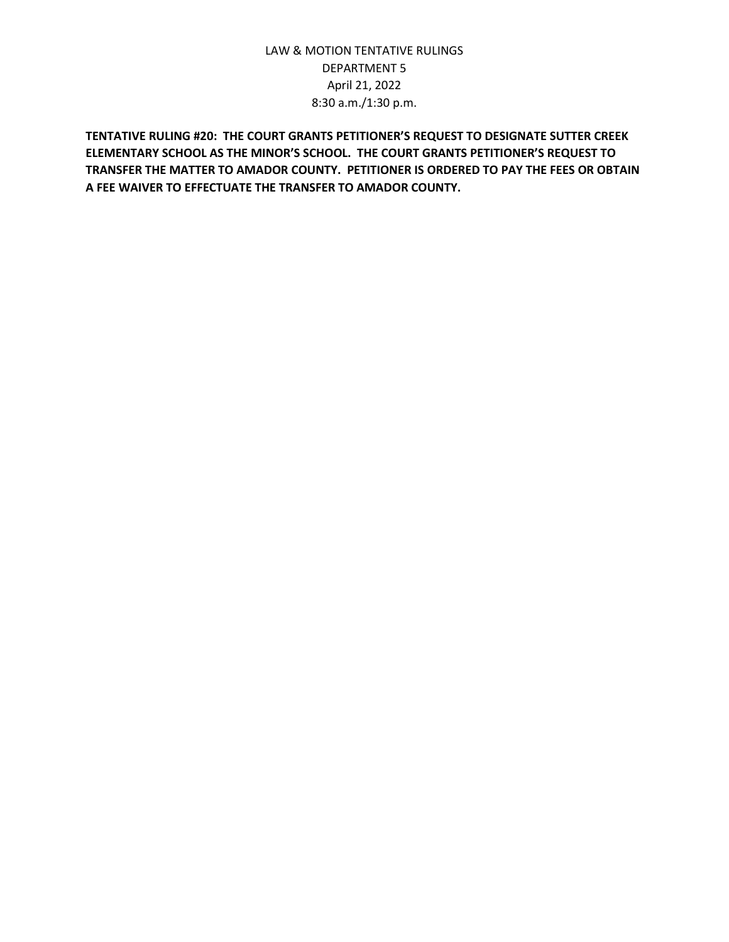**TENTATIVE RULING #20: THE COURT GRANTS PETITIONER'S REQUEST TO DESIGNATE SUTTER CREEK ELEMENTARY SCHOOL AS THE MINOR'S SCHOOL. THE COURT GRANTS PETITIONER'S REQUEST TO TRANSFER THE MATTER TO AMADOR COUNTY. PETITIONER IS ORDERED TO PAY THE FEES OR OBTAIN A FEE WAIVER TO EFFECTUATE THE TRANSFER TO AMADOR COUNTY.**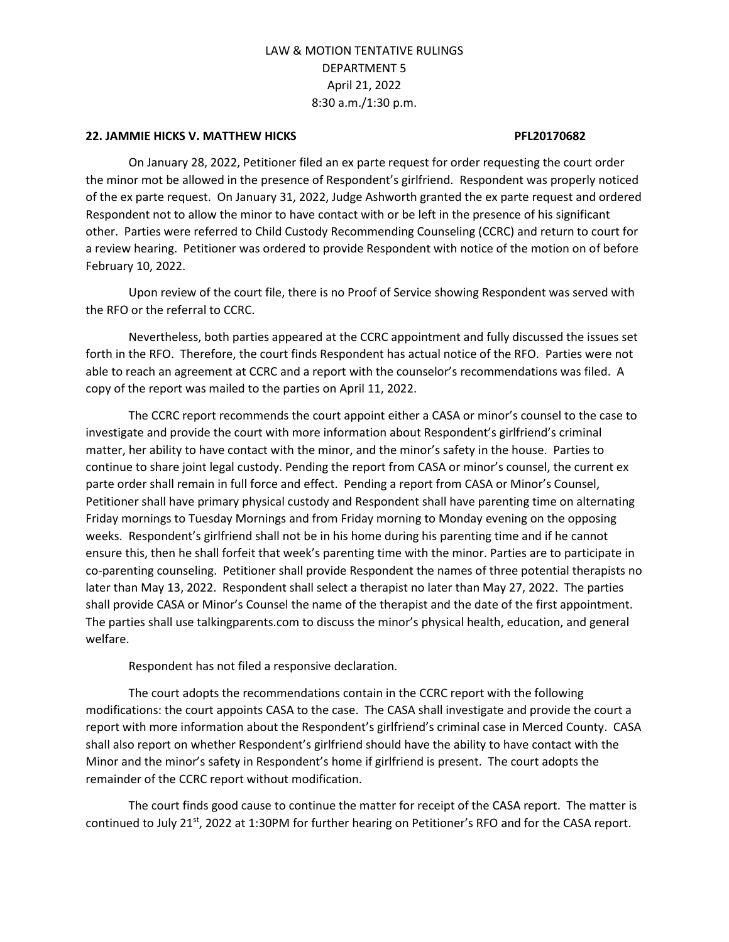### **22. JAMMIE HICKS V. MATTHEW HICKS PFL20170682**

On January 28, 2022, Petitioner filed an ex parte request for order requesting the court order the minor mot be allowed in the presence of Respondent's girlfriend. Respondent was properly noticed of the ex parte request. On January 31, 2022, Judge Ashworth granted the ex parte request and ordered Respondent not to allow the minor to have contact with or be left in the presence of his significant other. Parties were referred to Child Custody Recommending Counseling (CCRC) and return to court for a review hearing. Petitioner was ordered to provide Respondent with notice of the motion on of before February 10, 2022.

Upon review of the court file, there is no Proof of Service showing Respondent was served with the RFO or the referral to CCRC.

Nevertheless, both parties appeared at the CCRC appointment and fully discussed the issues set forth in the RFO. Therefore, the court finds Respondent has actual notice of the RFO. Parties were not able to reach an agreement at CCRC and a report with the counselor's recommendations was filed. A copy of the report was mailed to the parties on April 11, 2022.

The CCRC report recommends the court appoint either a CASA or minor's counsel to the case to investigate and provide the court with more information about Respondent's girlfriend's criminal matter, her ability to have contact with the minor, and the minor's safety in the house. Parties to continue to share joint legal custody. Pending the report from CASA or minor's counsel, the current ex parte order shall remain in full force and effect. Pending a report from CASA or Minor's Counsel, Petitioner shall have primary physical custody and Respondent shall have parenting time on alternating Friday mornings to Tuesday Mornings and from Friday morning to Monday evening on the opposing weeks. Respondent's girlfriend shall not be in his home during his parenting time and if he cannot ensure this, then he shall forfeit that week's parenting time with the minor. Parties are to participate in co-parenting counseling. Petitioner shall provide Respondent the names of three potential therapists no later than May 13, 2022. Respondent shall select a therapist no later than May 27, 2022. The parties shall provide CASA or Minor's Counsel the name of the therapist and the date of the first appointment. The parties shall use talkingparents.com to discuss the minor's physical health, education, and general welfare.

Respondent has not filed a responsive declaration.

The court adopts the recommendations contain in the CCRC report with the following modifications: the court appoints CASA to the case. The CASA shall investigate and provide the court a report with more information about the Respondent's girlfriend's criminal case in Merced County. CASA shall also report on whether Respondent's girlfriend should have the ability to have contact with the Minor and the minor's safety in Respondent's home if girlfriend is present. The court adopts the remainder of the CCRC report without modification.

The court finds good cause to continue the matter for receipt of the CASA report. The matter is continued to July 21<sup>st</sup>, 2022 at 1:30PM for further hearing on Petitioner's RFO and for the CASA report.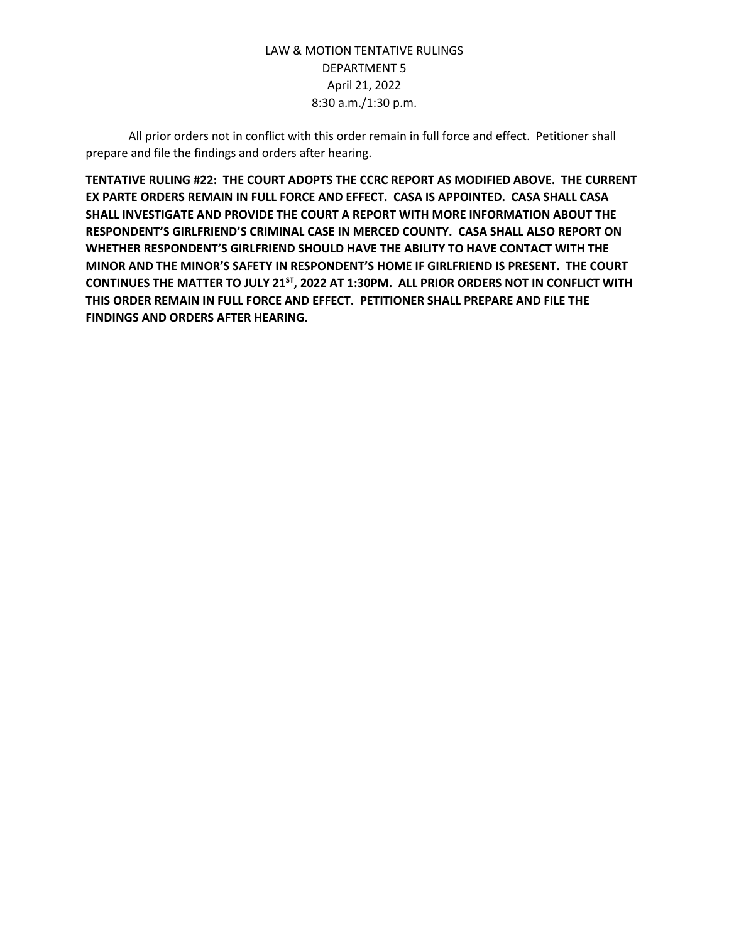All prior orders not in conflict with this order remain in full force and effect. Petitioner shall prepare and file the findings and orders after hearing.

**TENTATIVE RULING #22: THE COURT ADOPTS THE CCRC REPORT AS MODIFIED ABOVE. THE CURRENT EX PARTE ORDERS REMAIN IN FULL FORCE AND EFFECT. CASA IS APPOINTED. CASA SHALL CASA SHALL INVESTIGATE AND PROVIDE THE COURT A REPORT WITH MORE INFORMATION ABOUT THE RESPONDENT'S GIRLFRIEND'S CRIMINAL CASE IN MERCED COUNTY. CASA SHALL ALSO REPORT ON WHETHER RESPONDENT'S GIRLFRIEND SHOULD HAVE THE ABILITY TO HAVE CONTACT WITH THE MINOR AND THE MINOR'S SAFETY IN RESPONDENT'S HOME IF GIRLFRIEND IS PRESENT. THE COURT CONTINUES THE MATTER TO JULY 21ST, 2022 AT 1:30PM. ALL PRIOR ORDERS NOT IN CONFLICT WITH THIS ORDER REMAIN IN FULL FORCE AND EFFECT. PETITIONER SHALL PREPARE AND FILE THE FINDINGS AND ORDERS AFTER HEARING.**